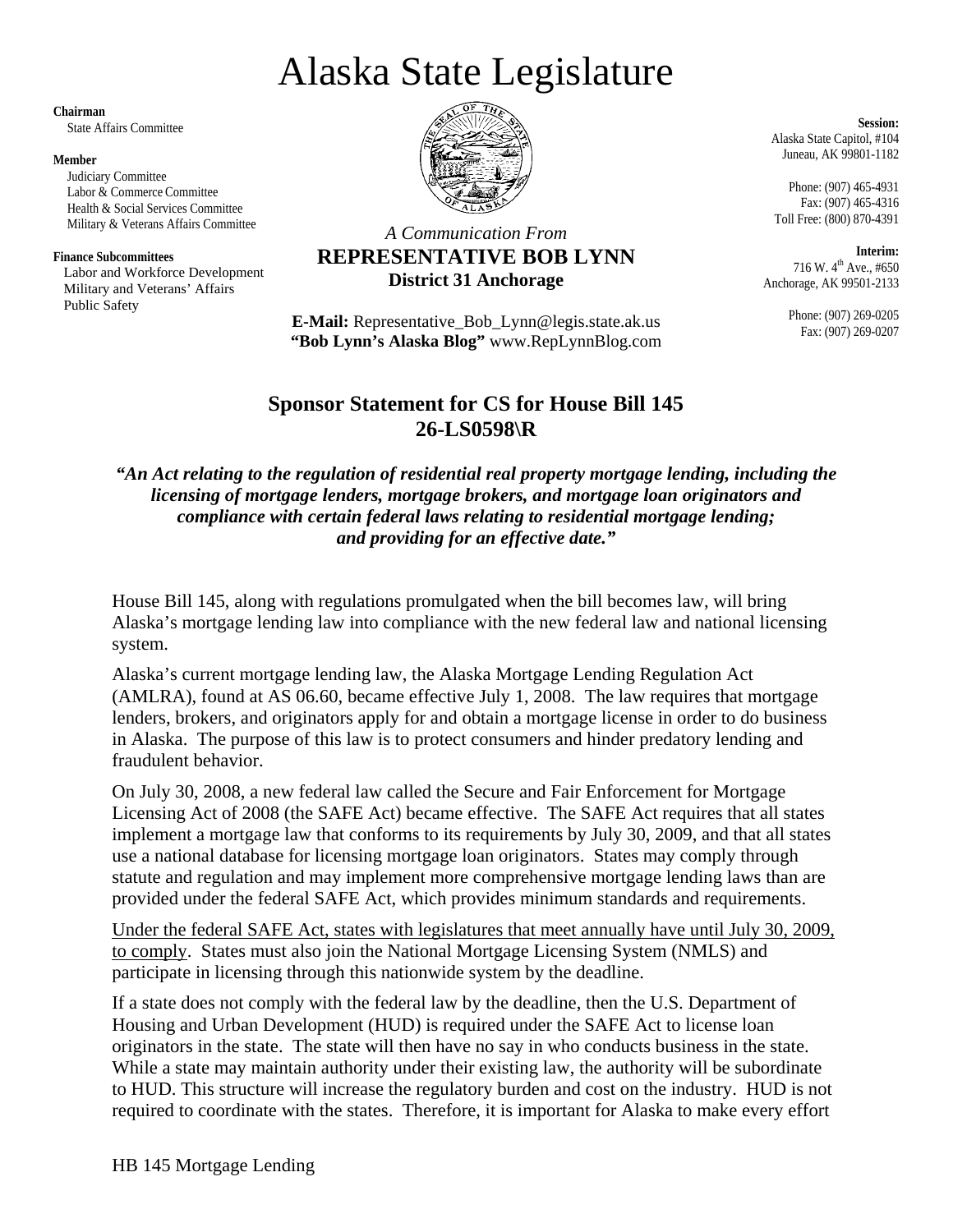# Alaska State Legislature

**Chairman** 

State Affairs Committee

#### **Member**

 Judiciary Committee Labor & Commerce Committee Health & Social Services Committee Military & Veterans Affairs Committee

#### **Finance Subcommittees**

 Labor and Workforce Development Military and Veterans' Affairs Public Safety



*A Communication From*  **REPRESENTATIVE BOB LYNN** 

## **District 31 Anchorage**

**E-Mail:** Representative\_Bob\_Lynn@legis.state.ak.us **"Bob Lynn's Alaska Blog"** www.RepLynnBlog.com

**Session:**  Alaska State Capitol, #104 Juneau, AK 99801-1182

Phone: (907) 465-4931 Fax: (907) 465-4316 Toll Free: (800) 870-4391

**Interim:**  716 W. 4<sup>th</sup> Ave., #650 Anchorage, AK 99501-2133

> Phone: (907) 269-0205 Fax: (907) 269-0207

### **Sponsor Statement for CS for House Bill 145 26-LS0598\R**

*"An Act relating to the regulation of residential real property mortgage lending, including the licensing of mortgage lenders, mortgage brokers, and mortgage loan originators and compliance with certain federal laws relating to residential mortgage lending; and providing for an effective date."* 

House Bill 145, along with regulations promulgated when the bill becomes law, will bring Alaska's mortgage lending law into compliance with the new federal law and national licensing system.

Alaska's current mortgage lending law, the Alaska Mortgage Lending Regulation Act (AMLRA), found at AS 06.60, became effective July 1, 2008. The law requires that mortgage lenders, brokers, and originators apply for and obtain a mortgage license in order to do business in Alaska. The purpose of this law is to protect consumers and hinder predatory lending and fraudulent behavior.

On July 30, 2008, a new federal law called the Secure and Fair Enforcement for Mortgage Licensing Act of 2008 (the SAFE Act) became effective. The SAFE Act requires that all states implement a mortgage law that conforms to its requirements by July 30, 2009, and that all states use a national database for licensing mortgage loan originators. States may comply through statute and regulation and may implement more comprehensive mortgage lending laws than are provided under the federal SAFE Act, which provides minimum standards and requirements.

Under the federal SAFE Act, states with legislatures that meet annually have until July 30, 2009, to comply. States must also join the National Mortgage Licensing System (NMLS) and participate in licensing through this nationwide system by the deadline.

If a state does not comply with the federal law by the deadline, then the U.S. Department of Housing and Urban Development (HUD) is required under the SAFE Act to license loan originators in the state. The state will then have no say in who conducts business in the state. While a state may maintain authority under their existing law, the authority will be subordinate to HUD. This structure will increase the regulatory burden and cost on the industry. HUD is not required to coordinate with the states. Therefore, it is important for Alaska to make every effort